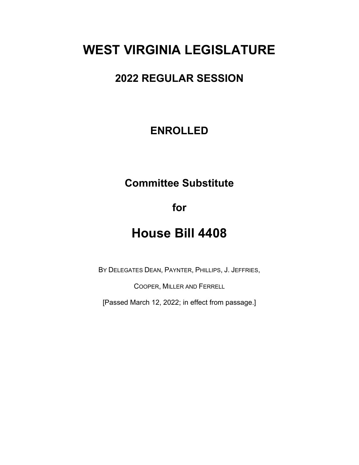# **WEST VIRGINIA LEGISLATURE**

## **2022 REGULAR SESSION**

### **ENROLLED**

## **Committee Substitute**

**for**

## **House Bill 4408**

BY DELEGATES DEAN, PAYNTER, PHILLIPS, J. JEFFRIES,

COOPER, MILLER AND FERRELL

[Passed March 12, 2022; in effect from passage.]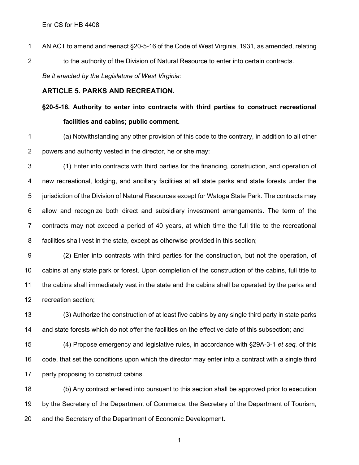AN ACT to amend and reenact §20-5-16 of the Code of West Virginia, 1931, as amended, relating 2 to the authority of the Division of Natural Resource to enter into certain contracts. *Be it enacted by the Legislature of West Virginia:*

#### **ARTICLE 5. PARKS AND RECREATION.**

## **§20-5-16. Authority to enter into contracts with third parties to construct recreational facilities and cabins; public comment.**

 (a) Notwithstanding any other provision of this code to the contrary, in addition to all other powers and authority vested in the director, he or she may:

 (1) Enter into contracts with third parties for the financing, construction, and operation of new recreational, lodging, and ancillary facilities at all state parks and state forests under the jurisdiction of the Division of Natural Resources except for Watoga State Park. The contracts may allow and recognize both direct and subsidiary investment arrangements. The term of the contracts may not exceed a period of 40 years, at which time the full title to the recreational facilities shall vest in the state, except as otherwise provided in this section;

 (2) Enter into contracts with third parties for the construction, but not the operation, of cabins at any state park or forest. Upon completion of the construction of the cabins, full title to the cabins shall immediately vest in the state and the cabins shall be operated by the parks and recreation section;

 (3) Authorize the construction of at least five cabins by any single third party in state parks 14 and state forests which do not offer the facilities on the effective date of this subsection; and

 (4) Propose emergency and legislative rules, in accordance with §29A-3-1 *et seq.* of this code, that set the conditions upon which the director may enter into a contract with a single third 17 party proposing to construct cabins.

 (b) Any contract entered into pursuant to this section shall be approved prior to execution by the Secretary of the Department of Commerce, the Secretary of the Department of Tourism, and the Secretary of the Department of Economic Development.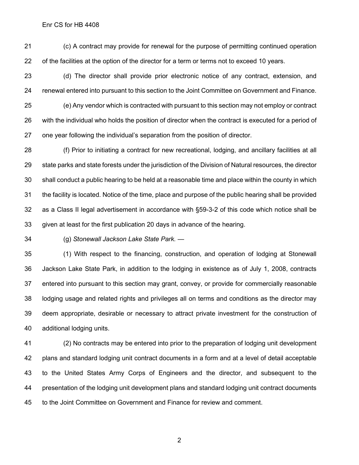(c) A contract may provide for renewal for the purpose of permitting continued operation of the facilities at the option of the director for a term or terms not to exceed 10 years.

 (d) The director shall provide prior electronic notice of any contract, extension, and renewal entered into pursuant to this section to the Joint Committee on Government and Finance.

 (e) Any vendor which is contracted with pursuant to this section may not employ or contract with the individual who holds the position of director when the contract is executed for a period of one year following the individual's separation from the position of director.

 (f) Prior to initiating a contract for new recreational, lodging, and ancillary facilities at all state parks and state forests under the jurisdiction of the Division of Natural resources, the director shall conduct a public hearing to be held at a reasonable time and place within the county in which the facility is located. Notice of the time, place and purpose of the public hearing shall be provided as a Class II legal advertisement in accordance with §59-3-2 of this code which notice shall be given at least for the first publication 20 days in advance of the hearing.

(g) *Stonewall Jackson Lake State Park. —*

 (1) With respect to the financing, construction, and operation of lodging at Stonewall Jackson Lake State Park, in addition to the lodging in existence as of July 1, 2008, contracts entered into pursuant to this section may grant, convey, or provide for commercially reasonable lodging usage and related rights and privileges all on terms and conditions as the director may deem appropriate, desirable or necessary to attract private investment for the construction of additional lodging units.

 (2) No contracts may be entered into prior to the preparation of lodging unit development plans and standard lodging unit contract documents in a form and at a level of detail acceptable to the United States Army Corps of Engineers and the director, and subsequent to the presentation of the lodging unit development plans and standard lodging unit contract documents to the Joint Committee on Government and Finance for review and comment.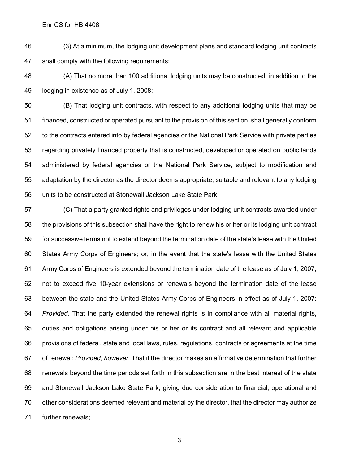(3) At a minimum, the lodging unit development plans and standard lodging unit contracts shall comply with the following requirements:

 (A) That no more than 100 additional lodging units may be constructed, in addition to the lodging in existence as of July 1, 2008;

 (B) That lodging unit contracts, with respect to any additional lodging units that may be financed, constructed or operated pursuant to the provision of this section, shall generally conform to the contracts entered into by federal agencies or the National Park Service with private parties regarding privately financed property that is constructed, developed or operated on public lands administered by federal agencies or the National Park Service, subject to modification and adaptation by the director as the director deems appropriate, suitable and relevant to any lodging units to be constructed at Stonewall Jackson Lake State Park.

 (C) That a party granted rights and privileges under lodging unit contracts awarded under the provisions of this subsection shall have the right to renew his or her or its lodging unit contract for successive terms not to extend beyond the termination date of the state's lease with the United States Army Corps of Engineers; or, in the event that the state's lease with the United States Army Corps of Engineers is extended beyond the termination date of the lease as of July 1, 2007, not to exceed five 10-year extensions or renewals beyond the termination date of the lease between the state and the United States Army Corps of Engineers in effect as of July 1, 2007: *Provided,* That the party extended the renewal rights is in compliance with all material rights, duties and obligations arising under his or her or its contract and all relevant and applicable provisions of federal, state and local laws, rules, regulations, contracts or agreements at the time of renewal: *Provided, however,* That if the director makes an affirmative determination that further renewals beyond the time periods set forth in this subsection are in the best interest of the state and Stonewall Jackson Lake State Park, giving due consideration to financial, operational and other considerations deemed relevant and material by the director, that the director may authorize further renewals;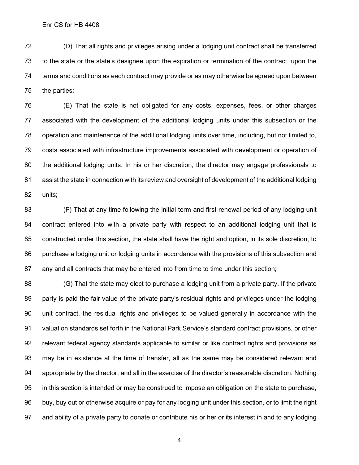(D) That all rights and privileges arising under a lodging unit contract shall be transferred to the state or the state's designee upon the expiration or termination of the contract, upon the terms and conditions as each contract may provide or as may otherwise be agreed upon between the parties;

 (E) That the state is not obligated for any costs, expenses, fees, or other charges associated with the development of the additional lodging units under this subsection or the operation and maintenance of the additional lodging units over time, including, but not limited to, costs associated with infrastructure improvements associated with development or operation of the additional lodging units. In his or her discretion, the director may engage professionals to assist the state in connection with its review and oversight of development of the additional lodging units;

 (F) That at any time following the initial term and first renewal period of any lodging unit contract entered into with a private party with respect to an additional lodging unit that is constructed under this section, the state shall have the right and option, in its sole discretion, to purchase a lodging unit or lodging units in accordance with the provisions of this subsection and any and all contracts that may be entered into from time to time under this section;

 (G) That the state may elect to purchase a lodging unit from a private party. If the private party is paid the fair value of the private party's residual rights and privileges under the lodging unit contract, the residual rights and privileges to be valued generally in accordance with the valuation standards set forth in the National Park Service's standard contract provisions, or other relevant federal agency standards applicable to similar or like contract rights and provisions as may be in existence at the time of transfer, all as the same may be considered relevant and appropriate by the director, and all in the exercise of the director's reasonable discretion. Nothing in this section is intended or may be construed to impose an obligation on the state to purchase, buy, buy out or otherwise acquire or pay for any lodging unit under this section, or to limit the right and ability of a private party to donate or contribute his or her or its interest in and to any lodging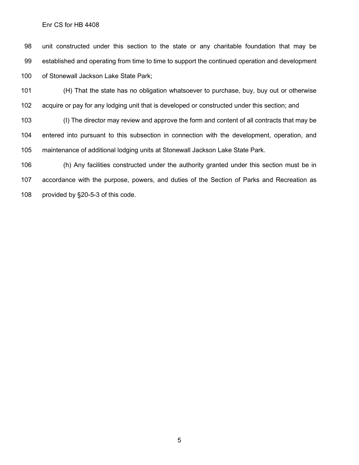unit constructed under this section to the state or any charitable foundation that may be established and operating from time to time to support the continued operation and development of Stonewall Jackson Lake State Park;

 (H) That the state has no obligation whatsoever to purchase, buy, buy out or otherwise acquire or pay for any lodging unit that is developed or constructed under this section; and

 (I) The director may review and approve the form and content of all contracts that may be entered into pursuant to this subsection in connection with the development, operation, and maintenance of additional lodging units at Stonewall Jackson Lake State Park.

 (h) Any facilities constructed under the authority granted under this section must be in accordance with the purpose, powers, and duties of the Section of Parks and Recreation as provided by §20-5-3 of this code.